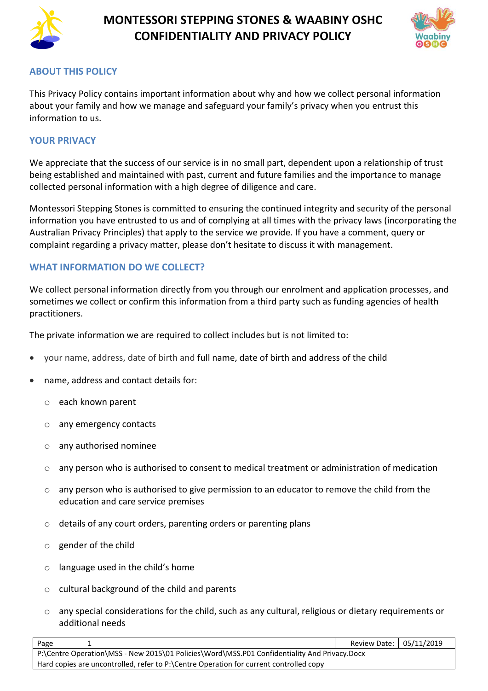



## **ABOUT THIS POLICY**

This Privacy Policy contains important information about why and how we collect personal information about your family and how we manage and safeguard your family's privacy when you entrust this information to us.

### **YOUR PRIVACY**

We appreciate that the success of our service is in no small part, dependent upon a relationship of trust being established and maintained with past, current and future families and the importance to manage collected personal information with a high degree of diligence and care.

Montessori Stepping Stones is committed to ensuring the continued integrity and security of the personal information you have entrusted to us and of complying at all times with the privacy laws (incorporating the Australian Privacy Principles) that apply to the service we provide. If you have a comment, query or complaint regarding a privacy matter, please don't hesitate to discuss it with management.

## **WHAT INFORMATION DO WE COLLECT?**

We collect personal information directly from you through our enrolment and application processes, and sometimes we collect or confirm this information from a third party such as funding agencies of health practitioners.

The private information we are required to collect includes but is not limited to:

- your name, address, date of birth and full name, date of birth and address of the child
- name, address and contact details for:
	- o each known parent
	- o any emergency contacts
	- o any authorised nominee
	- o any person who is authorised to consent to medical treatment or administration of medication
	- $\circ$  any person who is authorised to give permission to an educator to remove the child from the education and care service premises
	- o details of any court orders, parenting orders or parenting plans
	- $\circ$  gender of the child
	- $\circ$  language used in the child's home
	- $\circ$  cultural background of the child and parents
	- $\circ$  any special considerations for the child, such as any cultural, religious or dietary requirements or additional needs

| Page                                                                                         |  | Review Date: 05/11/2019 |  |
|----------------------------------------------------------------------------------------------|--|-------------------------|--|
| P:\Centre Operation\MSS - New 2015\01 Policies\Word\MSS.P01 Confidentiality And Privacy.Docx |  |                         |  |
| Hard copies are uncontrolled, refer to P:\Centre Operation for current controlled copy       |  |                         |  |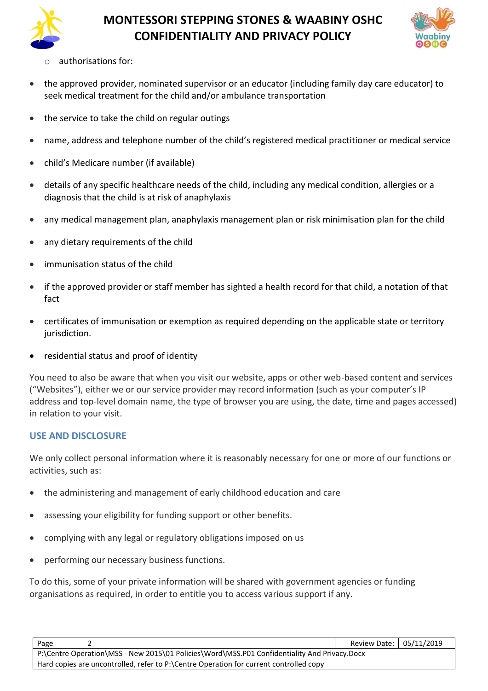



- authorisations for:
- the approved provider, nominated supervisor or an educator (including family day care educator) to seek medical treatment for the child and/or ambulance transportation
- the service to take the child on regular outings
- name, address and telephone number of the child's registered medical practitioner or medical service
- child's Medicare number (if available)
- details of any specific healthcare needs of the child, including any medical condition, allergies or a diagnosis that the child is at risk of anaphylaxis
- any medical management plan, anaphylaxis management plan or risk minimisation plan for the child
- any dietary requirements of the child
- immunisation status of the child
- if the approved provider or staff member has sighted a health record for that child, a notation of that fact
- certificates of immunisation or exemption as required depending on the applicable state or territory jurisdiction.
- residential status and proof of identity

You need to also be aware that when you visit our website, apps or other web-based content and services ("Websites"), either we or our service provider may record information (such as your computer's IP address and top-level domain name, the type of browser you are using, the date, time and pages accessed) in relation to your visit.

#### **USE AND DISCLOSURE**

We only collect personal information where it is reasonably necessary for one or more of our functions or activities, such as:

- the administering and management of early childhood education and care
- assessing your eligibility for funding support or other benefits.
- complying with any legal or regulatory obligations imposed on us
- performing our necessary business functions.

To do this, some of your private information will be shared with government agencies or funding organisations as required, in order to entitle you to access various support if any.

| Page                                                                                         |  | Review Date:   05/11/2019 |  |
|----------------------------------------------------------------------------------------------|--|---------------------------|--|
| P:\Centre Operation\MSS - New 2015\01 Policies\Word\MSS.P01 Confidentiality And Privacy.Docx |  |                           |  |
| Hard copies are uncontrolled, refer to P:\Centre Operation for current controlled copy       |  |                           |  |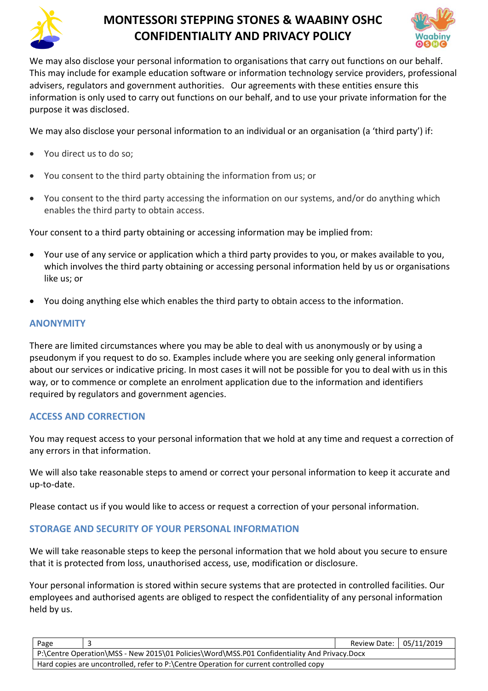



We may also disclose your personal information to organisations that carry out functions on our behalf. This may include for example education software or information technology service providers, professional advisers, regulators and government authorities. Our agreements with these entities ensure this information is only used to carry out functions on our behalf, and to use your private information for the purpose it was disclosed.

We may also disclose your personal information to an individual or an organisation (a 'third party') if:

- You direct us to do so;
- You consent to the third party obtaining the information from us; or
- You consent to the third party accessing the information on our systems, and/or do anything which enables the third party to obtain access.

Your consent to a third party obtaining or accessing information may be implied from:

- Your use of any service or application which a third party provides to you, or makes available to you, which involves the third party obtaining or accessing personal information held by us or organisations like us; or
- You doing anything else which enables the third party to obtain access to the information.

#### **ANONYMITY**

There are limited circumstances where you may be able to deal with us anonymously or by using a pseudonym if you request to do so. Examples include where you are seeking only general information about our services or indicative pricing. In most cases it will not be possible for you to deal with us in this way, or to commence or complete an enrolment application due to the information and identifiers required by regulators and government agencies.

## **ACCESS AND CORRECTION**

You may request access to your personal information that we hold at any time and request a correction of any errors in that information.

We will also take reasonable steps to amend or correct your personal information to keep it accurate and up-to-date.

Please contact us if you would like to access or request a correction of your personal information.

## **STORAGE AND SECURITY OF YOUR PERSONAL INFORMATION**

We will take reasonable steps to keep the personal information that we hold about you secure to ensure that it is protected from loss, unauthorised access, use, modification or disclosure.

Your personal information is stored within secure systems that are protected in controlled facilities. Our employees and authorised agents are obliged to respect the confidentiality of any personal information held by us.

| Page                                                                                         |  | Review Date: 05/11/2019 |  |
|----------------------------------------------------------------------------------------------|--|-------------------------|--|
| P:\Centre Operation\MSS - New 2015\01 Policies\Word\MSS.P01 Confidentiality And Privacy.Docx |  |                         |  |
| Hard copies are uncontrolled, refer to P:\Centre Operation for current controlled copy       |  |                         |  |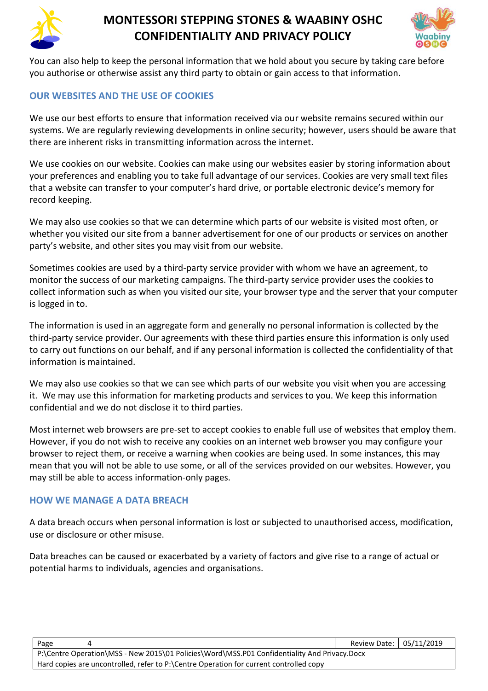



You can also help to keep the personal information that we hold about you secure by taking care before you authorise or otherwise assist any third party to obtain or gain access to that information.

## **OUR WEBSITES AND THE USE OF COOKIES**

We use our best efforts to ensure that information received via our website remains secured within our systems. We are regularly reviewing developments in online security; however, users should be aware that there are inherent risks in transmitting information across the internet.

We use cookies on our website. Cookies can make using our websites easier by storing information about your preferences and enabling you to take full advantage of our services. Cookies are very small text files that a website can transfer to your computer's hard drive, or portable electronic device's memory for record keeping.

We may also use cookies so that we can determine which parts of our website is visited most often, or whether you visited our site from a banner advertisement for one of our products or services on another party's website, and other sites you may visit from our website.

Sometimes cookies are used by a third-party service provider with whom we have an agreement, to monitor the success of our marketing campaigns. The third-party service provider uses the cookies to collect information such as when you visited our site, your browser type and the server that your computer is logged in to.

The information is used in an aggregate form and generally no personal information is collected by the third-party service provider. Our agreements with these third parties ensure this information is only used to carry out functions on our behalf, and if any personal information is collected the confidentiality of that information is maintained.

We may also use cookies so that we can see which parts of our website you visit when you are accessing it. We may use this information for marketing products and services to you. We keep this information confidential and we do not disclose it to third parties.

Most internet web browsers are pre-set to accept cookies to enable full use of websites that employ them. However, if you do not wish to receive any cookies on an internet web browser you may configure your browser to reject them, or receive a warning when cookies are being used. In some instances, this may mean that you will not be able to use some, or all of the services provided on our websites. However, you may still be able to access information-only pages.

#### **HOW WE MANAGE A DATA BREACH**

A data breach occurs when personal information is lost or subjected to unauthorised access, modification, use or disclosure or other misuse.

Data breaches can be caused or exacerbated by a variety of factors and give rise to a range of actual or potential harms to individuals, agencies and organisations.

| Page                                                                                          |  | Review Date: 05/11/2019 |  |  |
|-----------------------------------------------------------------------------------------------|--|-------------------------|--|--|
| P:\Centre Operation\MSS - New 2015\01 Policies\Word\MSS.P01 Confidentiality And Privacy.Docx  |  |                         |  |  |
| $\mid$ Hard copies are uncontrolled, refer to P:\Centre Operation for current controlled copy |  |                         |  |  |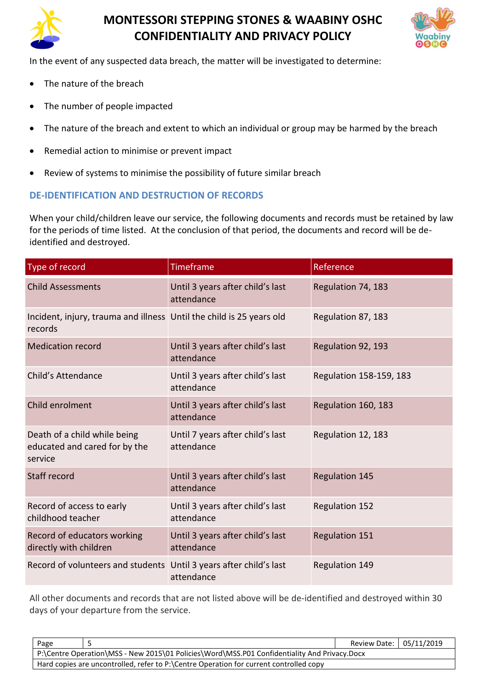



In the event of any suspected data breach, the matter will be investigated to determine:

- The nature of the breach
- The number of people impacted
- The nature of the breach and extent to which an individual or group may be harmed by the breach
- Remedial action to minimise or prevent impact
- Review of systems to minimise the possibility of future similar breach

## **DE-IDENTIFICATION AND DESTRUCTION OF RECORDS**

When your child/children leave our service, the following documents and records must be retained by law for the periods of time listed. At the conclusion of that period, the documents and record will be deidentified and destroyed.

| Type of record                                                                  | Timeframe                                      | Reference               |
|---------------------------------------------------------------------------------|------------------------------------------------|-------------------------|
| <b>Child Assessments</b>                                                        | Until 3 years after child's last<br>attendance | Regulation 74, 183      |
| Incident, injury, trauma and illness Until the child is 25 years old<br>records |                                                | Regulation 87, 183      |
| <b>Medication record</b>                                                        | Until 3 years after child's last<br>attendance | Regulation 92, 193      |
| Child's Attendance                                                              | Until 3 years after child's last<br>attendance | Regulation 158-159, 183 |
| Child enrolment                                                                 | Until 3 years after child's last<br>attendance | Regulation 160, 183     |
| Death of a child while being<br>educated and cared for by the<br>service        | Until 7 years after child's last<br>attendance | Regulation 12, 183      |
| Staff record                                                                    | Until 3 years after child's last<br>attendance | <b>Regulation 145</b>   |
| Record of access to early<br>childhood teacher                                  | Until 3 years after child's last<br>attendance | <b>Regulation 152</b>   |
| Record of educators working<br>directly with children                           | Until 3 years after child's last<br>attendance | <b>Regulation 151</b>   |
| Record of volunteers and students Until 3 years after child's last              | attendance                                     | Regulation 149          |

All other documents and records that are not listed above will be de-identified and destroyed within 30 days of your departure from the service.

| Page                                                                                         |  | Review Date: 05/11/2019 |  |
|----------------------------------------------------------------------------------------------|--|-------------------------|--|
| P:\Centre Operation\MSS - New 2015\01 Policies\Word\MSS.P01 Confidentiality And Privacy.Docx |  |                         |  |
| Hard copies are uncontrolled, refer to P:\Centre Operation for current controlled copy       |  |                         |  |